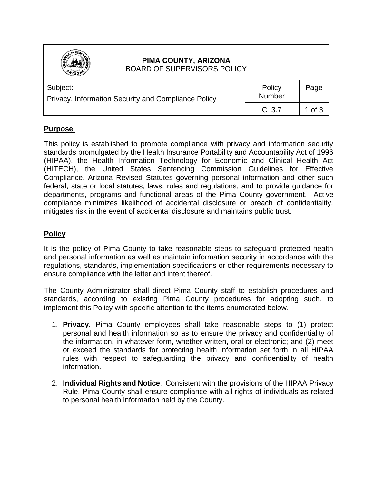

## **PIMA COUNTY, ARIZONA** BOARD OF SUPERVISORS POLICY

| Subject:<br>Privacy, Information Security and Compliance Policy | Policy<br><b>Number</b> | Page     |
|-----------------------------------------------------------------|-------------------------|----------|
|                                                                 | C <sub>3.7</sub>        | 1 of $3$ |

## **Purpose**

This policy is established to promote compliance with privacy and information security standards promulgated by the Health Insurance Portability and Accountability Act of 1996 (HIPAA), the Health Information Technology for Economic and Clinical Health Act (HITECH), the United States Sentencing Commission Guidelines for Effective Compliance, Arizona Revised Statutes governing personal information and other such federal, state or local statutes, laws, rules and regulations, and to provide guidance for departments, programs and functional areas of the Pima County government. Active compliance minimizes likelihood of accidental disclosure or breach of confidentiality, mitigates risk in the event of accidental disclosure and maintains public trust.

## **Policy**

It is the policy of Pima County to take reasonable steps to safeguard protected health and personal information as well as maintain information security in accordance with the regulations, standards, implementation specifications or other requirements necessary to ensure compliance with the letter and intent thereof.

The County Administrator shall direct Pima County staff to establish procedures and standards, according to existing Pima County procedures for adopting such, to implement this Policy with specific attention to the items enumerated below.

- 1. **Privacy**. Pima County employees shall take reasonable steps to (1) protect personal and health information so as to ensure the privacy and confidentiality of the information, in whatever form, whether written, oral or electronic; and (2) meet or exceed the standards for protecting health information set forth in all HIPAA rules with respect to safeguarding the privacy and confidentiality of health information.
- 2. **Individual Rights and Notice**. Consistent with the provisions of the HIPAA Privacy Rule, Pima County shall ensure compliance with all rights of individuals as related to personal health information held by the County.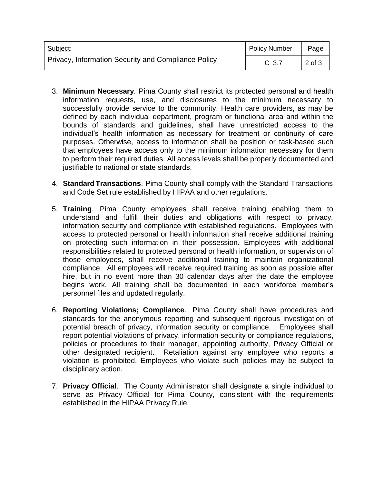| Subject:<br>Privacy, Information Security and Compliance Policy | Policy Number | Page   |
|-----------------------------------------------------------------|---------------|--------|
|                                                                 | C 3.7         | 2 of 3 |

- 3. **Minimum Necessary**. Pima County shall restrict its protected personal and health information requests, use, and disclosures to the minimum necessary to successfully provide service to the community. Health care providers, as may be defined by each individual department, program or functional area and within the bounds of standards and guidelines, shall have unrestricted access to the individual's health information as necessary for treatment or continuity of care purposes. Otherwise, access to information shall be position or task-based such that employees have access only to the minimum information necessary for them to perform their required duties. All access levels shall be properly documented and justifiable to national or state standards.
- 4. **Standard Transactions**. Pima County shall comply with the Standard Transactions and Code Set rule established by HIPAA and other regulations.
- 5. **Training**. Pima County employees shall receive training enabling them to understand and fulfill their duties and obligations with respect to privacy, information security and compliance with established regulations. Employees with access to protected personal or health information shall receive additional training on protecting such information in their possession. Employees with additional responsibilities related to protected personal or health information, or supervision of those employees, shall receive additional training to maintain organizational compliance. All employees will receive required training as soon as possible after hire, but in no event more than 30 calendar days after the date the employee begins work. All training shall be documented in each workforce member's personnel files and updated regularly.
- 6. **Reporting Violations; Compliance**. Pima County shall have procedures and standards for the anonymous reporting and subsequent rigorous investigation of potential breach of privacy, information security or compliance. Employees shall report potential violations of privacy, information security or compliance regulations, policies or procedures to their manager, appointing authority, Privacy Official or other designated recipient. Retaliation against any employee who reports a violation is prohibited. Employees who violate such policies may be subject to disciplinary action.
- 7. **Privacy Official**. The County Administrator shall designate a single individual to serve as Privacy Official for Pima County, consistent with the requirements established in the HIPAA Privacy Rule.